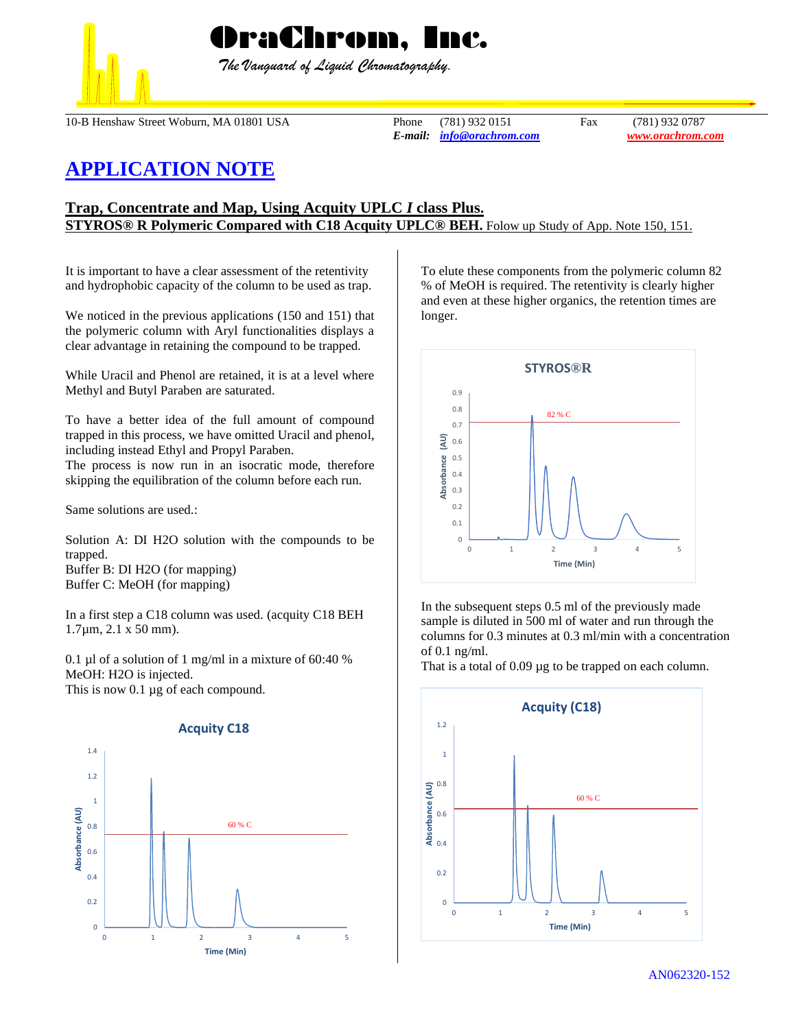

 *The Vanguard of Liquid Chromatography.*

10-B Henshaw Street Woburn, MA 01801 USA Phone (781) 932 0151 Fax (781) 932 0787

*E-mail: [info@orachrom.com](mailto:info@orachrom.com) www.orachrom.com*

## **APPLICATION NOTE**

## **Trap, Concentrate and Map, Using Acquity UPLC** *I* **class Plus. STYROS® R Polymeric Compared with C18 Acquity UPLC® BEH.** Folow up Study of App. Note 150, 151.

It is important to have a clear assessment of the retentivity and hydrophobic capacity of the column to be used as trap.

We noticed in the previous applications (150 and 151) that the polymeric column with Aryl functionalities displays a clear advantage in retaining the compound to be trapped.

While Uracil and Phenol are retained, it is at a level where Methyl and Butyl Paraben are saturated.

To have a better idea of the full amount of compound trapped in this process, we have omitted Uracil and phenol, including instead Ethyl and Propyl Paraben.

The process is now run in an isocratic mode, therefore skipping the equilibration of the column before each run.

Same solutions are used.:

Solution A: DI H2O solution with the compounds to be trapped. Buffer B: DI H2O (for mapping) Buffer C: MeOH (for mapping)

In a first step a C18 column was used. (acquity C18 BEH 1.7µm, 2.1 x 50 mm).

0.1 µl of a solution of 1 mg/ml in a mixture of 60:40 % MeOH: H2O is injected. This is now 0.1  $\mu$ g of each compound.



To elute these components from the polymeric column 82 % of MeOH is required. The retentivity is clearly higher and even at these higher organics, the retention times are longer.



In the subsequent steps 0.5 ml of the previously made sample is diluted in 500 ml of water and run through the columns for 0.3 minutes at 0.3 ml/min with a concentration of 0.1 ng/ml.

That is a total of 0.09  $\mu$ g to be trapped on each column.



**Acquity C18**